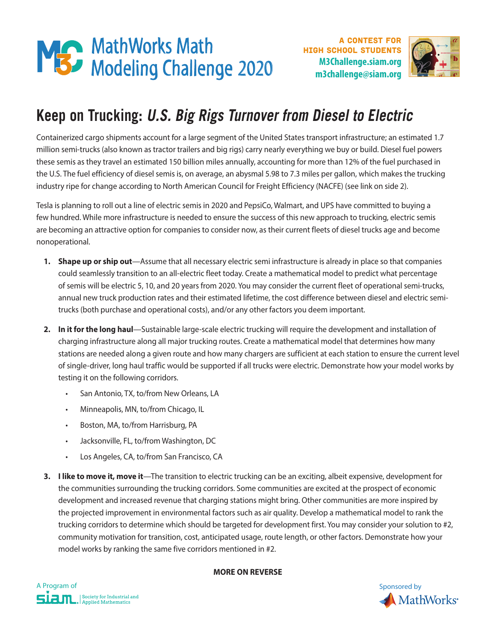

A contest for high school students



# **Keep on Trucking: U.S. Big Rigs Turnover from Diesel to Electric**

Containerized cargo shipments account for a large segment of the United States transport infrastructure; an estimated 1.7 million semi-trucks (also known as tractor trailers and big rigs) carry nearly everything we buy or build. Diesel fuel powers these semis as they travel an estimated 150 billion miles annually, accounting for more than 12% of the fuel purchased in the U.S. The fuel efficiency of diesel semis is, on average, an abysmal 5.98 to 7.3 miles per gallon, which makes the trucking industry ripe for change according to North American Council for Freight Efficiency (NACFE) (see link on side 2).

Tesla is planning to roll out a line of electric semis in 2020 and PepsiCo, Walmart, and UPS have committed to buying a few hundred. While more infrastructure is needed to ensure the success of this new approach to trucking, electric semis are becoming an attractive option for companies to consider now, as their current fleets of diesel trucks age and become nonoperational.

- **1. Shape up or ship out**—Assume that all necessary electric semi infrastructure is already in place so that companies could seamlessly transition to an all-electric fleet today. Create a mathematical model to predict what percentage of semis will be electric 5, 10, and 20 years from 2020. You may consider the current fleet of operational semi-trucks, annual new truck production rates and their estimated lifetime, the cost difference between diesel and electric semitrucks (both purchase and operational costs), and/or any other factors you deem important.
- **2. In it for the long haul**—Sustainable large-scale electric trucking will require the development and installation of charging infrastructure along all major trucking routes. Create a mathematical model that determines how many stations are needed along a given route and how many chargers are sufficient at each station to ensure the current level of single-driver, long haul traffic would be supported if all trucks were electric. Demonstrate how your model works by testing it on the following corridors.
	- San Antonio, TX, to/from New Orleans, LA
	- Minneapolis, MN, to/from Chicago, IL
	- Boston, MA, to/from Harrisburg, PA
	- Jacksonville, FL, to/from Washington, DC
	- Los Angeles, CA, to/from San Francisco, CA
- **3. I like to move it, move it**—The transition to electric trucking can be an exciting, albeit expensive, development for the communities surrounding the trucking corridors. Some communities are excited at the prospect of economic development and increased revenue that charging stations might bring. Other communities are more inspired by the projected improvement in environmental factors such as air quality. Develop a mathematical model to rank the trucking corridors to determine which should be targeted for development first. You may consider your solution to #2, community motivation for transition, cost, anticipated usage, route length, or other factors. Demonstrate how your model works by ranking the same five corridors mentioned in #2.

## **MORE ON REVERSE**